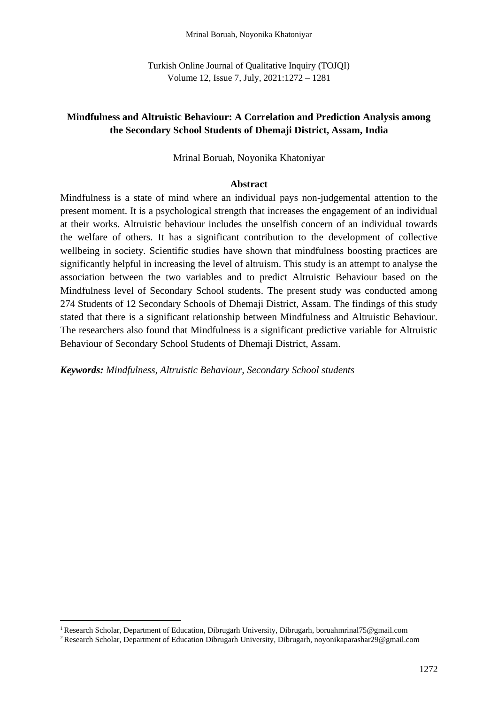Turkish Online Journal of Qualitative Inquiry (TOJQI) Volume 12, Issue 7, July, 2021:1272 – 1281

## **Mindfulness and Altruistic Behaviour: A Correlation and Prediction Analysis among the Secondary School Students of Dhemaji District, Assam, India**

#### Mrinal Boruah, Noyonika Khatoniyar

#### **Abstract**

Mindfulness is a state of mind where an individual pays non-judgemental attention to the present moment. It is a psychological strength that increases the engagement of an individual at their works. Altruistic behaviour includes the unselfish concern of an individual towards the welfare of others. It has a significant contribution to the development of collective wellbeing in society. Scientific studies have shown that mindfulness boosting practices are significantly helpful in increasing the level of altruism. This study is an attempt to analyse the association between the two variables and to predict Altruistic Behaviour based on the Mindfulness level of Secondary School students. The present study was conducted among 274 Students of 12 Secondary Schools of Dhemaji District, Assam. The findings of this study stated that there is a significant relationship between Mindfulness and Altruistic Behaviour. The researchers also found that Mindfulness is a significant predictive variable for Altruistic Behaviour of Secondary School Students of Dhemaji District, Assam.

*Keywords: Mindfulness, Altruistic Behaviour, Secondary School students*

<sup>1</sup>Research Scholar, Department of Education, Dibrugarh University, Dibrugarh, boruahmrinal75@gmail.com

<sup>2</sup> Research Scholar, Department of Education Dibrugarh University, Dibrugarh, noyonikaparashar29@gmail.com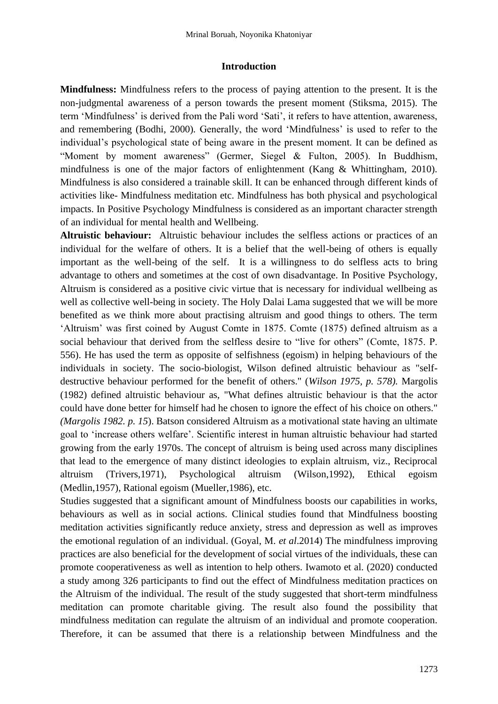#### **Introduction**

**Mindfulness:** Mindfulness refers to the process of paying attention to the present. It is the non-judgmental awareness of a person towards the present moment (Stiksma, 2015). The term 'Mindfulness' is derived from the Pali word 'Sati', it refers to have attention, awareness, and remembering (Bodhi, 2000)*.* Generally, the word 'Mindfulness' is used to refer to the individual's psychological state of being aware in the present moment. It can be defined as "Moment by moment awareness" (Germer, Siegel & Fulton, 2005). In Buddhism, mindfulness is one of the major factors of enlightenment (Kang & Whittingham, 2010). Mindfulness is also considered a trainable skill. It can be enhanced through different kinds of activities like- Mindfulness meditation etc. Mindfulness has both physical and psychological impacts. In Positive Psychology Mindfulness is considered as an important character strength of an individual for mental health and Wellbeing.

**Altruistic behaviour:** Altruistic behaviour includes the selfless actions or practices of an individual for the welfare of others. It is a belief that the well-being of others is equally important as the well-being of the self. It is a willingness to do selfless acts to bring advantage to others and sometimes at the cost of own disadvantage. In Positive Psychology, Altruism is considered as a positive civic virtue that is necessary for individual wellbeing as well as collective well-being in society. The Holy Dalai Lama suggested that we will be more benefited as we think more about practising altruism and good things to others. The term 'Altruism' was first coined by August Comte in 1875. Comte (1875) defined altruism as a social behaviour that derived from the selfless desire to "live for others" (Comte, 1875. P. 556). He has used the term as opposite of selfishness (egoism) in helping behaviours of the individuals in society. The socio-biologist, Wilson defined altruistic behaviour as "selfdestructive behaviour performed for the benefit of others." (*Wilson 1975, p. 578).* Margolis (1982) defined altruistic behaviour as, "What defines altruistic behaviour is that the actor could have done better for himself had he chosen to ignore the effect of his choice on others." *(Margolis 1982. p. 15*). Batson considered Altruism as a motivational state having an ultimate goal to 'increase others welfare'. Scientific interest in human altruistic behaviour had started growing from the early 1970s. The concept of altruism is being used across many disciplines that lead to the emergence of many distinct ideologies to explain altruism, viz., Reciprocal altruism (Trivers,1971), Psychological altruism (Wilson,1992), Ethical egoism (Medlin,1957), Rational egoism (Mueller,1986), etc.

Studies suggested that a significant amount of Mindfulness boosts our capabilities in works, behaviours as well as in social actions. Clinical studies found that Mindfulness boosting meditation activities significantly reduce anxiety, stress and depression as well as improves the emotional regulation of an individual. (Goyal, M. *et al*.2014) The mindfulness improving practices are also beneficial for the development of social virtues of the individuals, these can promote cooperativeness as well as intention to help others. Iwamoto et al. (2020) conducted a study among 326 participants to find out the effect of Mindfulness meditation practices on the Altruism of the individual. The result of the study suggested that short-term mindfulness meditation can promote charitable giving. The result also found the possibility that mindfulness meditation can regulate the altruism of an individual and promote cooperation. Therefore, it can be assumed that there is a relationship between Mindfulness and the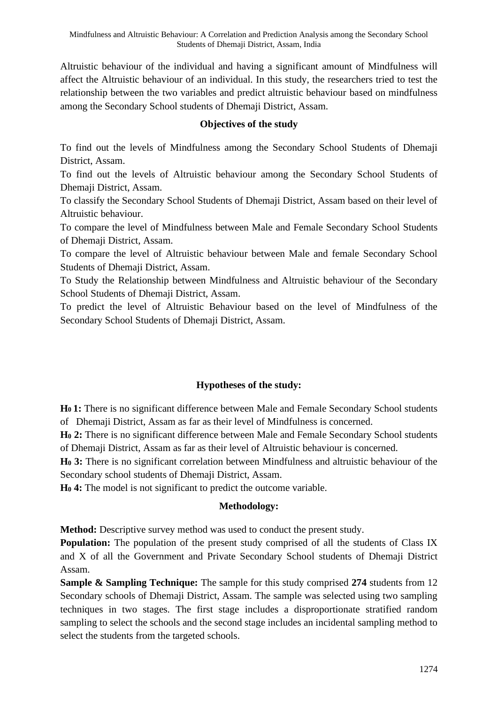Altruistic behaviour of the individual and having a significant amount of Mindfulness will affect the Altruistic behaviour of an individual. In this study, the researchers tried to test the relationship between the two variables and predict altruistic behaviour based on mindfulness among the Secondary School students of Dhemaji District, Assam.

## **Objectives of the study**

To find out the levels of Mindfulness among the Secondary School Students of Dhemaji District, Assam.

To find out the levels of Altruistic behaviour among the Secondary School Students of Dhemaji District, Assam.

To classify the Secondary School Students of Dhemaji District, Assam based on their level of Altruistic behaviour.

To compare the level of Mindfulness between Male and Female Secondary School Students of Dhemaji District, Assam.

To compare the level of Altruistic behaviour between Male and female Secondary School Students of Dhemaji District, Assam.

To Study the Relationship between Mindfulness and Altruistic behaviour of the Secondary School Students of Dhemaji District, Assam.

To predict the level of Altruistic Behaviour based on the level of Mindfulness of the Secondary School Students of Dhemaji District, Assam.

# **Hypotheses of the study:**

**H0 1:** There is no significant difference between Male and Female Secondary School students of Dhemaji District, Assam as far as their level of Mindfulness is concerned.

**H<sup>0</sup> 2:** There is no significant difference between Male and Female Secondary School students of Dhemaji District, Assam as far as their level of Altruistic behaviour is concerned.

**H<sup>0</sup> 3:** There is no significant correlation between Mindfulness and altruistic behaviour of the Secondary school students of Dhemaji District, Assam.

**H<sup>0</sup> 4:** The model is not significant to predict the outcome variable.

### **Methodology:**

**Method:** Descriptive survey method was used to conduct the present study.

**Population:** The population of the present study comprised of all the students of Class IX and X of all the Government and Private Secondary School students of Dhemaji District Assam.

**Sample & Sampling Technique:** The sample for this study comprised **274** students from 12 Secondary schools of Dhemaji District, Assam. The sample was selected using two sampling techniques in two stages. The first stage includes a disproportionate stratified random sampling to select the schools and the second stage includes an incidental sampling method to select the students from the targeted schools.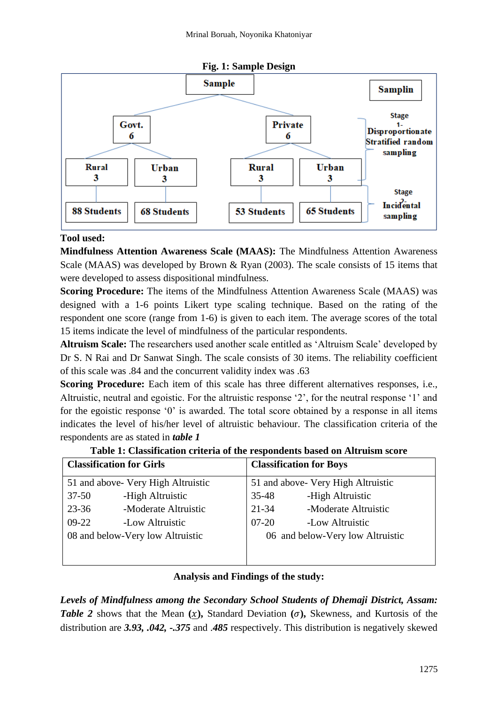

### **Fig. 1: Sample Design**

### **Tool used:**

**Mindfulness Attention Awareness Scale (MAAS):** The Mindfulness Attention Awareness Scale (MAAS) was developed by Brown & Ryan (2003). The scale consists of 15 items that were developed to assess dispositional mindfulness.

**Scoring Procedure:** The items of the Mindfulness Attention Awareness Scale (MAAS) was designed with a 1-6 points Likert type scaling technique. Based on the rating of the respondent one score (range from 1-6) is given to each item. The average scores of the total 15 items indicate the level of mindfulness of the particular respondents.

**Altruism Scale:** The researchers used another scale entitled as 'Altruism Scale' developed by Dr S. N Rai and Dr Sanwat Singh. The scale consists of 30 items. The reliability coefficient of this scale was .84 and the concurrent validity index was .63

**Scoring Procedure:** Each item of this scale has three different alternatives responses, i.e., Altruistic, neutral and egoistic. For the altruistic response '2', for the neutral response '1' and for the egoistic response '0' is awarded. The total score obtained by a response in all items indicates the level of his/her level of altruistic behaviour. The classification criteria of the respondents are as stated in *table 1*

|                                    | <b>Classification for Girls</b> |           | <b>Classification for Boys</b>     |
|------------------------------------|---------------------------------|-----------|------------------------------------|
| 51 and above- Very High Altruistic |                                 |           | 51 and above- Very High Altruistic |
| $37 - 50$                          | -High Altruistic                | 35-48     | -High Altruistic                   |
| $23 - 36$                          | -Moderate Altruistic            | 21-34     | -Moderate Altruistic               |
| $09-22$                            | -Low Altruistic                 | $07 - 20$ | -Low Altruistic                    |
| 08 and below-Very low Altruistic   |                                 |           | 06 and below-Very low Altruistic   |
|                                    |                                 |           |                                    |
|                                    |                                 |           |                                    |

**Table 1: Classification criteria of the respondents based on Altruism score**

### **Analysis and Findings of the study:**

*Levels of Mindfulness among the Secondary School Students of Dhemaji District, Assam: Table 2* shows that the Mean  $(x)$ , Standard Deviation  $(\sigma)$ , Skewness, and Kurtosis of the distribution are *3.93, .042, -.375* and .*485* respectively. This distribution is negatively skewed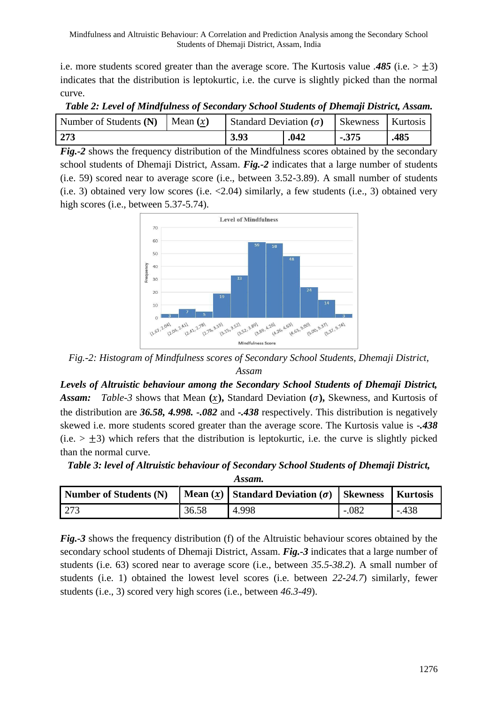i.e. more students scored greater than the average score. The Kurtosis value .485 (i.e.  $> \pm 3$ ) indicates that the distribution is leptokurtic, i.e. the curve is slightly picked than the normal curve.

| Number of Students (N)   Mean $(x)$ |  | Standard Deviation $(\sigma)$ |      | <b>Skewness</b> Kurtosis |      |
|-------------------------------------|--|-------------------------------|------|--------------------------|------|
| 273                                 |  | 3.93                          | .042 | $-375$                   | .485 |

*Table 2: Level of Mindfulness of Secondary School Students of Dhemaji District, Assam.*

*Fig.-2* shows the frequency distribution of the Mindfulness scores obtained by the secondary school students of Dhemaji District, Assam. *Fig.-2* indicates that a large number of students (i.e. 59) scored near to average score (i.e., between 3.52-3.89). A small number of students (i.e. 3) obtained very low scores (i.e. <2.04) similarly, a few students (i.e., 3) obtained very high scores (i.e., between 5.37-5.74).



*Fig.-2: Histogram of Mindfulness scores of Secondary School Students, Dhemaji District, Assam*

*Levels of Altruistic behaviour among the Secondary School Students of Dhemaji District,*  **Assam:** *Table-3* shows that Mean  $(x)$ , Standard Deviation  $(\sigma)$ , Skewness, and Kurtosis of the distribution are *36.58, 4.998. -.082* and *-.438* respectively. This distribution is negatively skewed i.e. more students scored greater than the average score. The Kurtosis value is -*.438* (i.e.  $> \pm 3$ ) which refers that the distribution is leptokurtic, i.e. the curve is slightly picked than the normal curve.

*Table 3: level of Altruistic behaviour of Secondary School Students of Dhemaji District, Assam.*

| Number of Students (N) |       | Mean $(x)$   Standard Deviation $(\sigma)$   Skewness |         | <b>Kurtosis</b> |
|------------------------|-------|-------------------------------------------------------|---------|-----------------|
| 1273                   | 36.58 | 4.998                                                 | $-.082$ | $-.438$         |

*Fig.-3* shows the frequency distribution (f) of the Altruistic behaviour scores obtained by the secondary school students of Dhemaji District, Assam. *Fig.-3* indicates that a large number of students (i.e. 63) scored near to average score (i.e., between *35.5-38.2*). A small number of students (i.e. 1) obtained the lowest level scores (i.e. between *22-24.7*) similarly, fewer students (i.e., 3) scored very high scores (i.e., between *46.3-49*).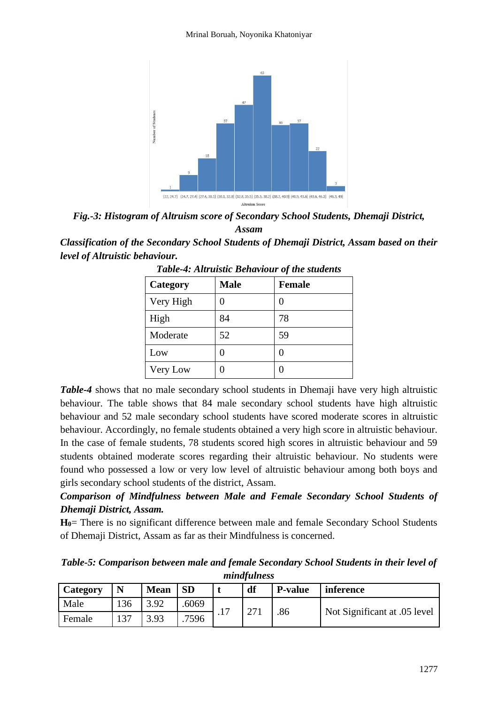

*Fig.-3: Histogram of Altruism score of Secondary School Students, Dhemaji District, Assam*

*Classification of the Secondary School Students of Dhemaji District, Assam based on their level of Altruistic behaviour.*

| Category  | <b>Male</b> | <b>Female</b> |
|-----------|-------------|---------------|
| Very High |             |               |
| High      | 84          | 78            |
| Moderate  | 52          | 59            |
| Low       | 0           |               |
| Very Low  | 0           |               |

*Table-4: Altruistic Behaviour of the students*

*Table-4* shows that no male secondary school students in Dhemaji have very high altruistic behaviour. The table shows that 84 male secondary school students have high altruistic behaviour and 52 male secondary school students have scored moderate scores in altruistic behaviour. Accordingly, no female students obtained a very high score in altruistic behaviour. In the case of female students, 78 students scored high scores in altruistic behaviour and 59 students obtained moderate scores regarding their altruistic behaviour. No students were found who possessed a low or very low level of altruistic behaviour among both boys and girls secondary school students of the district, Assam.

# *Comparison of Mindfulness between Male and Female Secondary School Students of Dhemaji District, Assam.*

**H0**= There is no significant difference between male and female Secondary School Students of Dhemaji District, Assam as far as their Mindfulness is concerned.

*Table-5: Comparison between male and female Secondary School Students in their level of mindfulness*

| <b>Category</b> | N   | <b>Mean</b> | <b>SD</b> | df          | <b>P-value</b> | inference                    |
|-----------------|-----|-------------|-----------|-------------|----------------|------------------------------|
| Male            | 136 | 3.92        | .6069     | $\sqrt{71}$ |                |                              |
| Female          |     | 3.93        | 7596      |             | .86            | Not Significant at .05 level |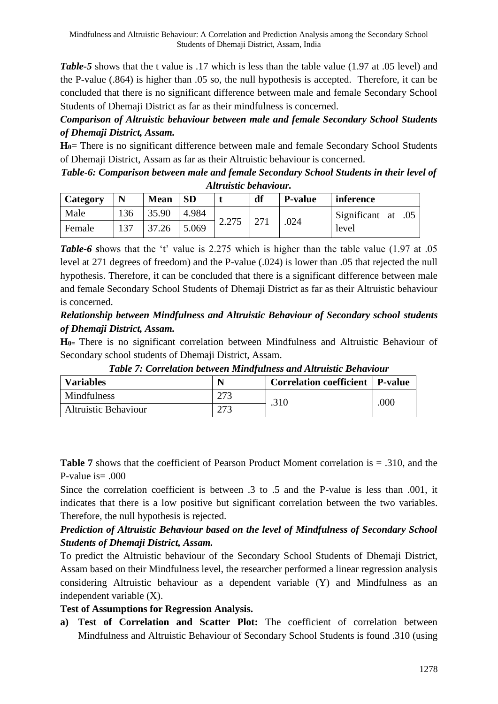*Table-5* shows that the t value is .17 which is less than the table value (1.97 at .05 level) and the P-value (.864) is higher than .05 so, the null hypothesis is accepted. Therefore, it can be concluded that there is no significant difference between male and female Secondary School Students of Dhemaji District as far as their mindfulness is concerned.

# *Comparison of Altruistic behaviour between male and female Secondary School Students of Dhemaji District, Assam.*

**H0**= There is no significant difference between male and female Secondary School Students of Dhemaji District, Assam as far as their Altruistic behaviour is concerned.

*Table-6: Comparison between male and female Secondary School Students in their level of Altruistic behaviour.*

| <b>Category</b> | N   | <b>Mean</b> | <b>SD</b> |       | df | <b>P-value</b> | inference          |
|-----------------|-----|-------------|-----------|-------|----|----------------|--------------------|
| Male            | 136 | 35.90       | 4.984     |       |    |                | Significant at .05 |
| Female          | 137 | 37.26       | 5.069     | 2.275 |    | .024           | level              |

*Table-6 s*hows that the 't' value is 2.275 which is higher than the table value (1.97 at .05 level at 271 degrees of freedom) and the P-value (.024) is lower than .05 that rejected the null hypothesis. Therefore, it can be concluded that there is a significant difference between male and female Secondary School Students of Dhemaji District as far as their Altruistic behaviour is concerned.

# *Relationship between Mindfulness and Altruistic Behaviour of Secondary school students of Dhemaji District, Assam.*

**H0=** There is no significant correlation between Mindfulness and Altruistic Behaviour of Secondary school students of Dhemaji District, Assam.

| <b>Variables</b>            |     | Correlation coefficient   P-value |      |
|-----------------------------|-----|-----------------------------------|------|
| Mindfulness                 | מדמ | .310                              | .000 |
| <b>Altruistic Behaviour</b> | ר ה |                                   |      |

*Table 7: Correlation between Mindfulness and Altruistic Behaviour*

**Table 7** shows that the coefficient of Pearson Product Moment correlation is = .310, and the P-value is  $= .000$ 

Since the correlation coefficient is between .3 to .5 and the P-value is less than .001, it indicates that there is a low positive but significant correlation between the two variables. Therefore, the null hypothesis is rejected.

# *Prediction of Altruistic Behaviour based on the level of Mindfulness of Secondary School Students of Dhemaji District, Assam.*

To predict the Altruistic behaviour of the Secondary School Students of Dhemaji District, Assam based on their Mindfulness level, the researcher performed a linear regression analysis considering Altruistic behaviour as a dependent variable (Y) and Mindfulness as an independent variable (X).

# **Test of Assumptions for Regression Analysis.**

**a) Test of Correlation and Scatter Plot:** The coefficient of correlation between Mindfulness and Altruistic Behaviour of Secondary School Students is found .310 (using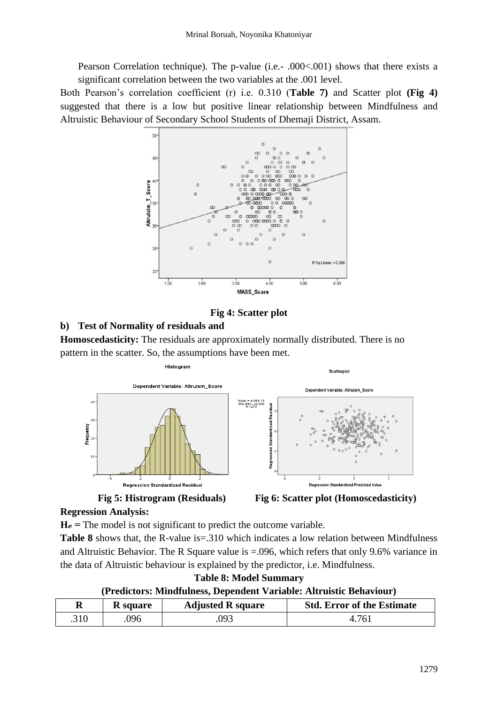Pearson Correlation technique). The p-value (i.e.- .000<.001) shows that there exists a significant correlation between the two variables at the .001 level.

Both Pearson's correlation coefficient (r) i.e. 0.310 (**Table 7)** and Scatter plot **(Fig 4)**  suggested that there is a low but positive linear relationship between Mindfulness and Altruistic Behaviour of Secondary School Students of Dhemaji District, Assam.



# **Fig 4: Scatter plot**

# **b) Test of Normality of residuals and**

**Homoscedasticity:** The residuals are approximately normally distributed. There is no pattern in the scatter. So, the assumptions have been met.







### **Regression Analysis:**

**Hℴ =** The model is not significant to predict the outcome variable.

**Table 8** shows that, the R-value is=.310 which indicates a low relation between Mindfulness and Altruistic Behavior. The R Square value is =.096, which refers that only 9.6% variance in the data of Altruistic behaviour is explained by the predictor, i.e. Mindfulness.

**Table 8: Model Summary**

### **(Predictors: Mindfulness, Dependent Variable: Altruistic Behaviour)**

| D    | <b>K</b> square | <b>Adjusted R square</b> | <b>Std. Error of the Estimate</b> |
|------|-----------------|--------------------------|-----------------------------------|
| .310 | 096             | 093                      |                                   |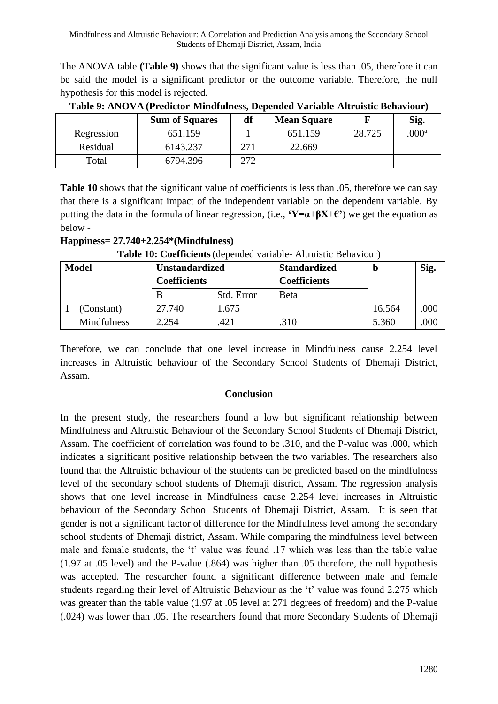The ANOVA table **(Table 9)** shows that the significant value is less than .05, therefore it can be said the model is a significant predictor or the outcome variable. Therefore, the null hypothesis for this model is rejected.

|            | <b>Sum of Squares</b> | df  | <b>Mean Square</b> |        | Sig.              |
|------------|-----------------------|-----|--------------------|--------|-------------------|
| Regression | 651.159               |     | 651.159            | 28.725 | .000 <sup>a</sup> |
| Residual   | 6143.237              | 271 | 22.669             |        |                   |
| Total      | 6794.396              | 272 |                    |        |                   |

**Table 9: ANOVA (Predictor-Mindfulness, Depended Variable-Altruistic Behaviour)**

**Table 10** shows that the significant value of coefficients is less than .05, therefore we can say that there is a significant impact of the independent variable on the dependent variable. By putting the data in the formula of linear regression, (i.e., **'Y=α+βX+€'**) we get the equation as below -

|              | <b>Table To: Coefficients</b> (depended variable-Altridistic Defiaviour) |                       |            |                     |        |      |  |  |  |  |
|--------------|--------------------------------------------------------------------------|-----------------------|------------|---------------------|--------|------|--|--|--|--|
| <b>Model</b> |                                                                          | <b>Unstandardized</b> |            | <b>Standardized</b> |        | Sig. |  |  |  |  |
|              |                                                                          | <b>Coefficients</b>   |            | <b>Coefficients</b> |        |      |  |  |  |  |
|              |                                                                          |                       | Std. Error | Beta                |        |      |  |  |  |  |
|              | (Constant)                                                               | 27.740                | 1.675      |                     | 16.564 | .000 |  |  |  |  |
|              | <b>Mindfulness</b>                                                       | 2.254                 | 421        | .310                | 5.360  | .000 |  |  |  |  |

**Happiness= 27.740+2.254\*(Mindfulness)**

| <b>Table 10: Coefficients</b> (depended variable- Altruistic Behaviour) |  |  |  |
|-------------------------------------------------------------------------|--|--|--|
|                                                                         |  |  |  |

Therefore, we can conclude that one level increase in Mindfulness cause 2.254 level increases in Altruistic behaviour of the Secondary School Students of Dhemaji District, Assam.

# **Conclusion**

In the present study, the researchers found a low but significant relationship between Mindfulness and Altruistic Behaviour of the Secondary School Students of Dhemaji District, Assam. The coefficient of correlation was found to be .310, and the P-value was .000, which indicates a significant positive relationship between the two variables. The researchers also found that the Altruistic behaviour of the students can be predicted based on the mindfulness level of the secondary school students of Dhemaji district, Assam. The regression analysis shows that one level increase in Mindfulness cause 2.254 level increases in Altruistic behaviour of the Secondary School Students of Dhemaji District, Assam. It is seen that gender is not a significant factor of difference for the Mindfulness level among the secondary school students of Dhemaji district, Assam. While comparing the mindfulness level between male and female students, the 't' value was found .17 which was less than the table value (1.97 at .05 level) and the P-value (.864) was higher than .05 therefore, the null hypothesis was accepted. The researcher found a significant difference between male and female students regarding their level of Altruistic Behaviour as the 't' value was found 2.275 which was greater than the table value (1.97 at .05 level at 271 degrees of freedom) and the P-value (.024) was lower than .05. The researchers found that more Secondary Students of Dhemaji